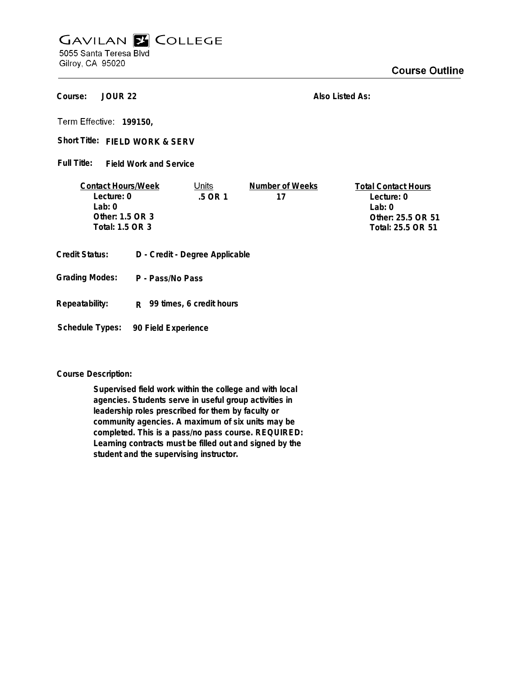## **GAVILAN E COLLEGE** 5055 Santa Teresa Blvd

Gilroy, CA 95020

**JOUR 22 Course:**

**Also Listed As:**

**199150,**

Short Title: FIELD WORK & SERV

**Field Work and Service Full Title:**

| <b>Contact Hours/Week</b> | Jnits     | Number of Weeks | <b>Total Contact Hours</b> |
|---------------------------|-----------|-----------------|----------------------------|
| Lecture: 0                | $.5$ OR 1 |                 | Lecture: 0                 |
| $1$ ab: $0$               |           |                 | l ab: 0                    |
| Other: 1.5 OR 3           |           |                 | Other: 25.5 OR 51          |
| Total: 1.5 OR 3           |           |                 | Total: 25.5 OR 51          |
|                           |           |                 |                            |

- **Credit Status: D Credit Degree Applicable**
- **P Pass/No Pass Grading Modes:**
- **Repeatability: R 99 times, 6 credit hours**

**Schedule Types: 90 Field Experience**

**Course Description:**

**Supervised field work within the college and with local agencies. Students serve in useful group activities in leadership roles prescribed for them by faculty or community agencies. A maximum of six units may be completed. This is a pass/no pass course. REQUIRED: Learning contracts must be filled out and signed by the student and the supervising instructor.**